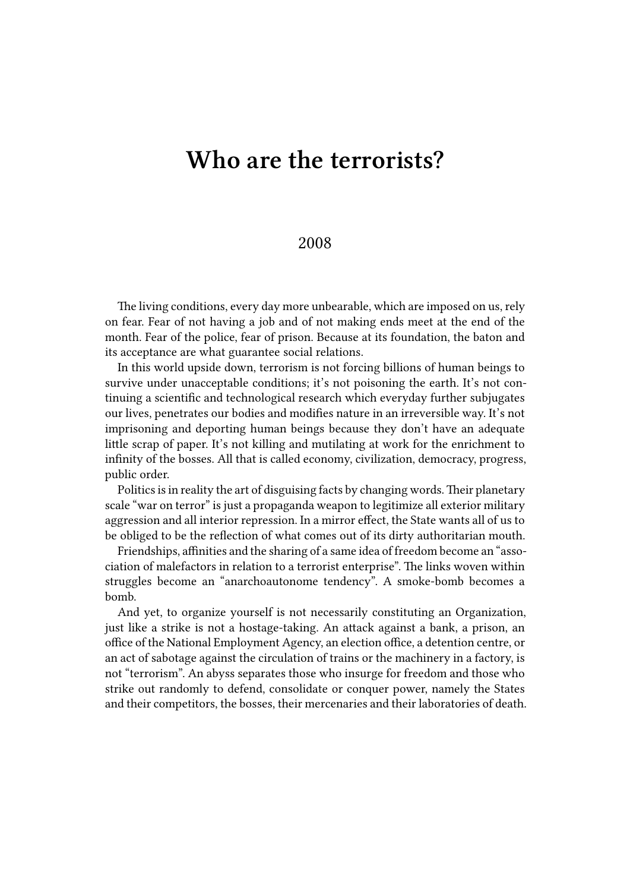## **Who are the terrorists?**

## 2008

The living conditions, every day more unbearable, which are imposed on us, rely on fear. Fear of not having a job and of not making ends meet at the end of the month. Fear of the police, fear of prison. Because at its foundation, the baton and its acceptance are what guarantee social relations.

In this world upside down, terrorism is not forcing billions of human beings to survive under unacceptable conditions; it's not poisoning the earth. It's not continuing a scientific and technological research which everyday further subjugates our lives, penetrates our bodies and modifies nature in an irreversible way. It's not imprisoning and deporting human beings because they don't have an adequate little scrap of paper. It's not killing and mutilating at work for the enrichment to infinity of the bosses. All that is called economy, civilization, democracy, progress, public order.

Politics is in reality the art of disguising facts by changing words. Their planetary scale "war on terror" is just a propaganda weapon to legitimize all exterior military aggression and all interior repression. In a mirror effect, the State wants all of us to be obliged to be the reflection of what comes out of its dirty authoritarian mouth.

Friendships, affinities and the sharing of a same idea of freedom become an "association of malefactors in relation to a terrorist enterprise". The links woven within struggles become an "anarchoautonome tendency". A smoke-bomb becomes a bomb.

And yet, to organize yourself is not necessarily constituting an Organization, just like a strike is not a hostage-taking. An attack against a bank, a prison, an office of the National Employment Agency, an election office, a detention centre, or an act of sabotage against the circulation of trains or the machinery in a factory, is not "terrorism". An abyss separates those who insurge for freedom and those who strike out randomly to defend, consolidate or conquer power, namely the States and their competitors, the bosses, their mercenaries and their laboratories of death.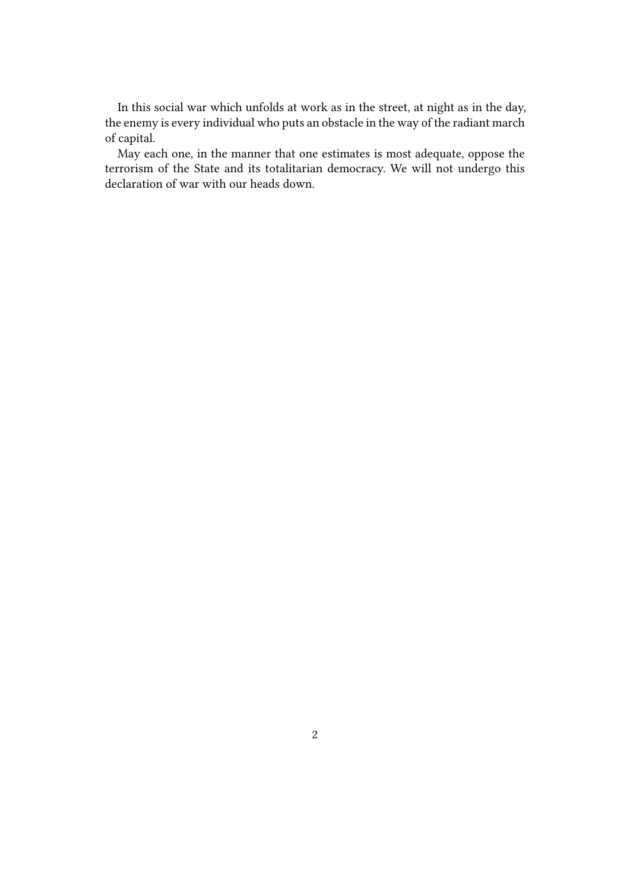In this social war which unfolds at work as in the street, at night as in the day, the enemy is every individual who puts an obstacle in the way of the radiant march of capital.

May each one, in the manner that one estimates is most adequate, oppose the terrorism of the State and its totalitarian democracy. We will not undergo this declaration of war with our heads down.